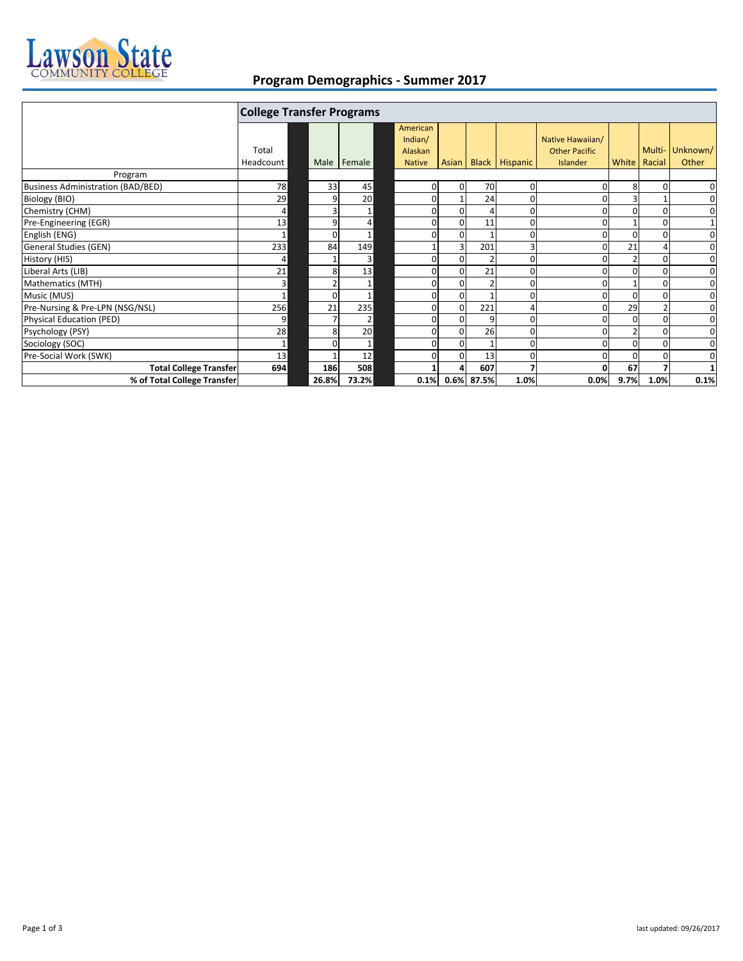

## **Program Demographics ‐ Summer 2017**

|                                          | <b>College Transfer Programs</b> |          |                |                                                 |                |            |                  |                                                      |      |                |                          |
|------------------------------------------|----------------------------------|----------|----------------|-------------------------------------------------|----------------|------------|------------------|------------------------------------------------------|------|----------------|--------------------------|
|                                          | Total<br>Headcount               |          | Male   Female  | American<br>Indian/<br>Alaskan<br><b>Native</b> | Asian          |            | Black   Hispanic | Native Hawaiian/<br><b>Other Pacific</b><br>Islander |      | White   Racial | Multi- Unknown/<br>Other |
| Program                                  |                                  |          |                |                                                 |                |            |                  |                                                      |      |                |                          |
| <b>Business Administration (BAD/BED)</b> | 78                               | 33       | 45             | 0                                               | $\overline{0}$ | 70         | 0                |                                                      | 8    |                | 0                        |
| Biology (BIO)                            | 29                               |          | 20             | $\Omega$                                        |                | 24         |                  |                                                      |      |                | 0                        |
| Chemistry (CHM)                          | 4                                |          |                | $\Omega$                                        | $\overline{0}$ |            | 0                |                                                      | O    |                | 0                        |
| Pre-Engineering (EGR)                    | 13                               | c        | $\overline{4}$ | 0                                               | $\Omega$       | 11         | 0                |                                                      |      |                |                          |
| English (ENG)                            |                                  | $\Omega$ |                | ΩI                                              | $\Omega$       |            | 0                |                                                      |      |                | $\mathbf 0$              |
| General Studies (GEN)                    | 233                              | 84       | 149            |                                                 |                | 201        | 3                |                                                      | 21   |                | 0                        |
| History (HIS)                            | 4                                |          | 3              | $\Omega$                                        | $\Omega$       |            | 0                |                                                      |      | 0              | $\mathbf 0$              |
| Liberal Arts (LIB)                       | 21                               | 8        | 13             | $\Omega$                                        | $\Omega$       | 21         | 0                |                                                      | ŋ    |                | 0                        |
| Mathematics (MTH)                        | 3                                |          |                | $\Omega$                                        |                |            |                  |                                                      |      |                | 0                        |
| Music (MUS)                              |                                  |          |                | $\overline{0}$                                  | $\Omega$       |            |                  |                                                      |      |                | 0                        |
| Pre-Nursing & Pre-LPN (NSG/NSL)          | 256                              | 21       | 235            | $\Omega$                                        | $\Omega$       | 221        |                  |                                                      | 29   |                | $\mathbf 0$              |
| Physical Education (PED)                 | 9                                |          | $\overline{2}$ | $\Omega$                                        | $\Omega$       | 9          | U                |                                                      | 0    |                | 0                        |
| Psychology (PSY)                         | 28                               | 8        | 20             | $\Omega$                                        | $\Omega$       | 26         | 0                |                                                      |      |                | 0                        |
| Sociology (SOC)                          |                                  |          |                | $\Omega$                                        | $\Omega$       |            | 0                |                                                      | O    |                | $\mathbf 0$              |
| Pre-Social Work (SWK)                    | 13                               |          | 12             | $\Omega$                                        | $\Omega$       | 13         | 0                |                                                      | O    |                | 0                        |
| <b>Total College Transfer</b>            | 694                              | 186      | 508            |                                                 |                | 607        |                  |                                                      | 67   |                |                          |
| % of Total College Transfer              |                                  | 26.8%    | 73.2%          | 0.1%                                            |                | 0.6% 87.5% | 1.0%             | 0.0%                                                 | 9.7% | 1.0%           | 0.1%                     |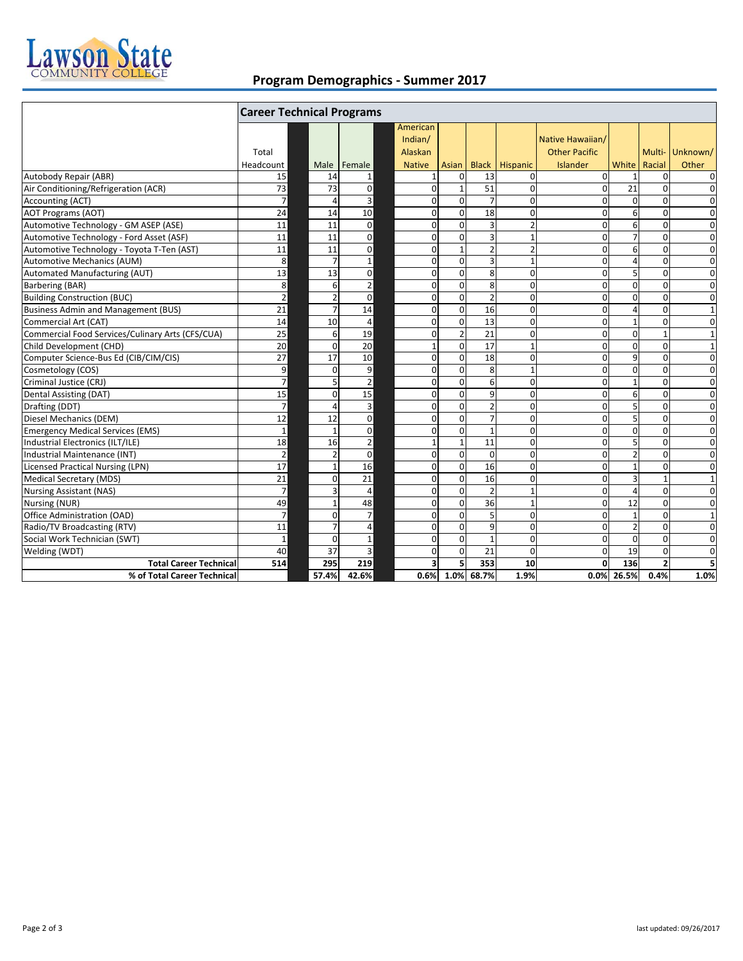

## **Program Demographics ‐ Summer 2017**

|                                                  | <b>Career Technical Programs</b> |                |                         |                                                 |                                           |                 |                |                                                      |                |                |                          |
|--------------------------------------------------|----------------------------------|----------------|-------------------------|-------------------------------------------------|-------------------------------------------|-----------------|----------------|------------------------------------------------------|----------------|----------------|--------------------------|
|                                                  | Total<br>Headcount               |                | Male Female             | American<br>Indian/<br>Alaskan<br><b>Native</b> | Asian                                     | <b>Black</b>    | Hispanic       | Native Hawaiian/<br><b>Other Pacific</b><br>Islander | White          | Racial         | Multi- Unknown/<br>Other |
| Autobody Repair (ABR)                            | 15                               | 14             | $\mathbf{1}$            |                                                 | $\Omega$<br>$\mathbf{1}$                  | 13              | $\Omega$       | $\Omega$                                             |                | $\Omega$       | $\mathbf 0$              |
| Air Conditioning/Refrigeration (ACR)             | 73                               | 73             | $\mathbf 0$             |                                                 | $\mathbf{0}$<br>$\mathbf{1}$              | 51              | $\Omega$       | $\Omega$                                             | 21             | $\Omega$       | 0                        |
| <b>Accounting (ACT)</b>                          | $\overline{7}$                   | $\overline{a}$ | 3                       |                                                 | $\mathbf{0}$<br>$\mathbf{0}$              | $\overline{7}$  | $\Omega$       | $\Omega$                                             | $\Omega$       | $\Omega$       | 0                        |
| <b>AOT Programs (AOT)</b>                        | 24                               | 14             | 10                      |                                                 | $\Omega$<br>$\Omega$                      | 18              | $\Omega$       | $\Omega$                                             | 6              | $\Omega$       | $\mathbf 0$              |
| Automotive Technology - GM ASEP (ASE)            | 11                               | 11             | $\mathbf 0$             |                                                 | $\mathbf 0$<br>$\Omega$                   | $\overline{3}$  | $\overline{2}$ | $\Omega$                                             | 6              | $\Omega$       | $\mathbf 0$              |
| Automotive Technology - Ford Asset (ASF)         | 11                               | 11             | $\mathbf 0$             |                                                 | $\mathbf{0}$<br>$\mathbf{0}$              | 3               | $\mathbf{1}$   | $\Omega$                                             | $\overline{7}$ | $\mathbf 0$    | $\mathbf 0$              |
| Automotive Technology - Toyota T-Ten (AST)       | 11                               | 11             | $\mathbf 0$             |                                                 | $\mathbf 0$<br>$\mathbf{1}$               | $\overline{2}$  | $\overline{2}$ | $\Omega$                                             | 6              | $\mathbf 0$    | $\mathbf 0$              |
| <b>Automotive Mechanics (AUM)</b>                | 8                                | $\overline{7}$ | $\mathbf{1}$            |                                                 | $\mathbf{0}$<br>$\Omega$                  | $\overline{3}$  | $\mathbf{1}$   | $\Omega$                                             | $\Delta$       | $\Omega$       | $\mathbf{0}$             |
| Automated Manufacturing (AUT)                    | 13                               | 13             | $\mathbf 0$             |                                                 | $\mathbf 0$<br>$\mathbf{0}$               | 8               | 0              | $\Omega$                                             | 5              | $\mathbf 0$    | $\mathbf 0$              |
| <b>Barbering (BAR)</b>                           | 8                                | 6              | $\overline{2}$          |                                                 | $\mathbf 0$<br>$\Omega$                   | 8               | $\Omega$       | $\Omega$                                             | $\mathbf 0$    | $\Omega$       | $\mathbf 0$              |
| <b>Building Construction (BUC)</b>               | $\overline{2}$                   | $\overline{2}$ | $\mathbf 0$             |                                                 | $\mathbf 0$<br>$\mathbf 0$                | $\overline{2}$  | 0              | $\Omega$                                             | $\Omega$       | $\mathbf 0$    | $\mathbf 0$              |
| <b>Business Admin and Management (BUS)</b>       | 21                               | $\overline{7}$ | 14                      |                                                 | $\mathbf 0$<br>$\mathbf{0}$               | 16              | 0              | $\Omega$                                             | 4              | $\mathbf 0$    | $1\,$                    |
| Commercial Art (CAT)                             | $\overline{14}$                  | 10             | $\overline{4}$          |                                                 | $\Omega$<br>$\Omega$                      | $\overline{13}$ | $\mathbf 0$    | $\Omega$                                             | $\mathbf{1}$   | $\Omega$       | $\mathbf 0$              |
| Commercial Food Services/Culinary Arts (CFS/CUA) | 25                               | 6              | 19                      |                                                 | $\overline{2}$<br>$\mathbf{0}$            | 21              | 0              | $\Omega$                                             | $\Omega$       | $\mathbf{1}$   | $\mathbf{1}$             |
| Child Development (CHD)                          | 20                               | $\Omega$       | 20                      |                                                 | $\mathbf 0$<br>$\mathbf{1}$               | $\overline{17}$ | 1              | $\Omega$                                             | $\mathbf 0$    | $\mathbf 0$    | $\mathbf 1$              |
| Computer Science-Bus Ed (CIB/CIM/CIS)            | 27                               | 17             | 10                      |                                                 | $\Omega$<br>$\Omega$                      | 18              | $\Omega$       | $\Omega$                                             | 9              | $\Omega$       | $\mathbf 0$              |
| Cosmetology (COS)                                | 9                                | $\Omega$       | 9                       |                                                 | $\mathbf 0$<br>$\Omega$                   | 8               | $\mathbf{1}$   | $\Omega$                                             | $\Omega$       | $\Omega$       | $\mathbf 0$              |
| Criminal Justice (CRJ)                           | $7 \overline{ }$                 | 5              | $\overline{2}$          |                                                 | $\mathbf{0}$<br>$\mathbf{0}$              | 6               | 0              | $\Omega$                                             | 1              | $\Omega$       | $\mathbf 0$              |
| Dental Assisting (DAT)                           | 15                               | $\Omega$       | 15                      |                                                 | $\Omega$<br>$\Omega$                      | 9               | $\Omega$       | $\Omega$                                             | 6              | $\Omega$       | $\mathbf 0$              |
| Drafting (DDT)                                   | $\overline{7}$                   | $\overline{4}$ | $\overline{3}$          |                                                 | $\mathbf 0$<br>$\Omega$                   | $\overline{2}$  | $\Omega$       | $\Omega$                                             | 5              | $\Omega$       | $\mathbf 0$              |
| Diesel Mechanics (DEM)                           | 12                               | 12             | $\mathbf 0$             |                                                 | $\mathbf{0}$<br>$\mathbf{0}$              | $\overline{7}$  | 0              | $\Omega$                                             | 5              | $\mathbf 0$    | 0                        |
| <b>Emergency Medical Services (EMS)</b>          | $\mathbf{1}$                     | $\mathbf{1}$   | $\mathbf 0$             |                                                 | $\mathbf 0$<br>$\mathbf 0$                | $\mathbf{1}$    | $\Omega$       | $\Omega$                                             | $\Omega$       | $\mathbf 0$    | $\mathbf 0$              |
| Industrial Electronics (ILT/ILE)                 | 18                               | 16             | $\mathbf 2$             |                                                 | $\mathbf{1}$<br>$\mathbf{1}$              | 11              | $\Omega$       | $\Omega$                                             | 5              | $\mathbf 0$    | $\mathbf 0$              |
| Industrial Maintenance (INT)                     | $\overline{2}$                   | $\overline{2}$ | $\mathbf 0$             |                                                 | $\mathbf 0$<br>$\mathbf{0}$               | $\mathbf 0$     | 0              | $\Omega$                                             | $\overline{2}$ | $\Omega$       | $\mathbf 0$              |
| <b>Licensed Practical Nursing (LPN)</b>          | 17                               | $\overline{1}$ | 16                      |                                                 | $\mathbf 0$<br>$\Omega$                   | 16              | $\Omega$       | $\Omega$                                             | 1              | $\Omega$       | $\mathbf 0$              |
| <b>Medical Secretary (MDS)</b>                   | 21                               | $\Omega$       | 21                      |                                                 | $\mathbf{0}$<br>$\mathbf{0}$              | 16              | $\Omega$       | $\Omega$                                             | 3              | 1              | $\mathbf{1}$             |
| <b>Nursing Assistant (NAS)</b>                   | $\overline{7}$                   | 3              | 4                       |                                                 | $\mathbf{0}$<br>$\overline{0}$            | $\overline{2}$  | $\mathbf{1}$   | $\Omega$                                             | $\overline{4}$ | $\mathbf 0$    | $\mathbf 0$              |
| Nursing (NUR)                                    | 49                               | $\mathbf{1}$   | 48                      |                                                 | $\mathbf 0$<br>$\Omega$                   | 36              | 1              | $\Omega$                                             | 12             | $\Omega$       | $\mathbf 0$              |
| Office Administration (OAD)                      | $\overline{7}$                   | $\Omega$       | $\overline{7}$          |                                                 | $\mathbf{0}$<br>$\Omega$                  | 5               | $\Omega$       | $\Omega$                                             |                | $\Omega$       | $\mathbf{1}$             |
| Radio/TV Broadcasting (RTV)                      | 11                               |                | $\overline{4}$          |                                                 | $\mathbf{0}$<br>$\mathbf{0}$              | 9               | 0              | 0                                                    | $\overline{2}$ | $\mathbf 0$    | $\mathbf 0$              |
| Social Work Technician (SWT)                     | $\mathbf{1}$                     | $\Omega$       | $\mathbf 1$             |                                                 | $\mathbf{0}$<br>$\Omega$                  | $\mathbf{1}$    | $\Omega$       | $\Omega$                                             | $\Omega$       | $\Omega$       | $\mathbf 0$              |
| Welding (WDT)                                    | 40                               | 37             | $\overline{\mathbf{3}}$ |                                                 | $\mathbf{0}$<br>$\Omega$                  | 21              | 0              | $\Omega$                                             | 19             | $\mathbf 0$    | $\mathbf 0$              |
| <b>Total Career Technical</b>                    | 514                              | 295            | 219                     |                                                 | $\overline{\mathbf{3}}$<br>5 <sup>1</sup> | 353             | 10             | $\Omega$                                             | 136            | $\overline{2}$ | 5                        |
| % of Total Career Technical                      |                                  | 57.4%          | 42.6%                   | 0.6%                                            |                                           | 1.0% 68.7%      | 1.9%           | 0.0%                                                 | 26.5%          | 0.4%           | 1.0%                     |